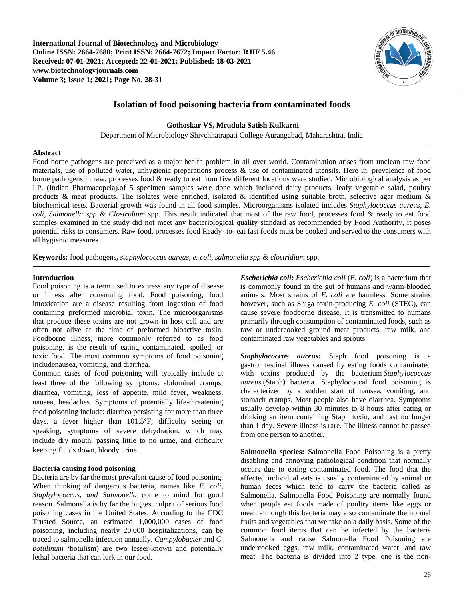

# **Isolation of food poisoning bacteria from contaminated foods**

**Gothoskar VS, Mrudula Satish Kulkarni**

Department of Microbiology Shivchhatrapati College Aurangabad, Maharashtra, India

### **Abstract**

Food borne pathogens are perceived as a major health problem in all over world. Contamination arises from unclean raw food materials, use of polluted water, unhygienic preparations process & use of contaminated utensils. Here in, prevalence of food borne pathogens in raw, processes food & ready to eat from five different locations were studied. Microbiological analysis as per I.P. (Indian Pharmacopeia).of 5 specimen samples were done which included dairy products, leafy vegetable salad, poultry products & meat products. The isolates were enriched, isolated & identified using suitable broth, selective agar medium  $\&$ biochemical tests. Bacterial growth was found in all food samples. Microorganisms isolated includes *Staphylococcus aureus, E. coli*, *Salmonella spp* & *Clostridium* spp. This result indicated that most of the raw food, processes food & ready to eat food samples examined in the study did not meet any bacteriological quality standard as recommended by Food Authority, it poses potential risks to consumers. Raw food, processes food Ready- to- eat fast foods must be cooked and served to the consumers with all hygienic measures.

**Keywords:** food pathogens**,** *staphylococcus aureus, e. coli*, *salmonella spp* & *clostridium* spp.

### **Introduction**

Food poisoning is a term used to express any type of disease or illness after consuming food. Food poisoning, food intoxication are a disease resulting from ingestion of food containing preformed microbial toxin. The microorganisms that produce these toxins are not grown in host cell and are often not alive at the time of preformed bioactive toxin. Foodborne illness, more commonly referred to as food poisoning, is the result of eating contaminated, spoiled, or toxic food. The most common symptoms of food poisoning includenausea, vomiting, and diarrhea.

Common cases of food poisoning will typically include at least three of the following symptoms: abdominal cramps, diarrhea, vomiting, loss of appetite, mild fever, weakness, nausea, headaches. Symptoms of potentially life-threatening food poisoning include: diarrhea persisting for more than three days, a fever higher than 101.5°F, difficulty seeing or speaking, symptoms of severe dehydration, which may include dry mouth, passing little to no urine, and difficulty keeping fluids down, bloody urine.

# **Bacteria causing food poisoning**

Bacteria are by far the most prevalent cause of food poisoning. When thinking of dangerous bacteria, names like *E. coli, Staphylococcus, and Salmonella* come to mind for good reason. Salmonella is by far the biggest culprit of serious food poisoning cases in the United States. According to the CDC Trusted Source, an estimated 1,000,000 cases of food poisoning, including nearly 20,000 hospitalizations, can be traced to salmonella infection annually. *Campylobacter* and *C. botulinum (*botulism) are two lesser-known and potentially lethal bacteria that can lurk in our food.

*Escherichia coli: Escherichia coli* (*E. coli*) is a bacterium that is commonly found in the gut of humans and warm-blooded animals. Most strains of *E. coli* are harmless. Some strains however, such as Shiga toxin-producing *E. coli* (STEC), can cause severe foodborne disease. It is transmitted to humans primarily through consumption of contaminated foods, such as raw or undercooked ground meat products, raw milk, and contaminated raw vegetables and sprouts.

*Staphylococcus aureus:* Staph food poisoning is a gastrointestinal illness caused by eating foods contaminated with toxins produced by the bacterium *Staphylococcus aureus* (Staph) bacteria*.* Staphylococcal food poisoning is characterized by a sudden start of nausea, vomiting, and stomach cramps. Most people also have diarrhea. Symptoms usually develop within 30 minutes to 8 hours after eating or drinking an item containing Staph toxin, and last no longer than 1 day. Severe illness is rare. The illness cannot be passed from one person to another.

**Salmonella species:** Salmonella Food Poisoning is a pretty disabling and annoying pathological condition that normally occurs due to eating contaminated food. The food that the affected individual eats is usually contaminated by animal or human feces which tend to carry the bacteria called as Salmonella. Salmonella Food Poisoning are normally found when people eat foods made of poultry items like eggs or meat, although this bacteria may also contaminate the normal fruits and vegetables that we take on a daily basis. Some of the common food items that can be infected by the bacteria Salmonella and cause Salmonella Food Poisoning are undercooked eggs, raw milk, contaminated water, and raw meat. The bacteria is divided into 2 type, one is the non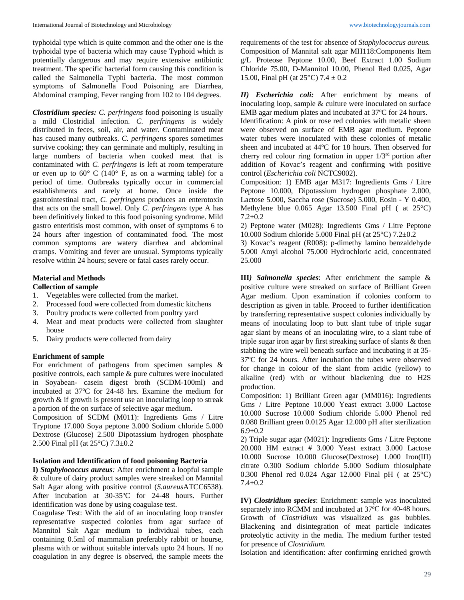typhoidal type which is quite common and the other one is the typhoidal type of bacteria which may cause Typhoid which is potentially dangerous and may require extensive antibiotic treatment. The specific bacterial form causing this condition is called the Salmonella Typhi bacteria. The most common symptoms of Salmonella Food Poisoning are Diarrhea, Abdominal cramping, Fever ranging from 102 to 104 degrees.

*Clostridium species: C. perfringens* food poisoning is usually a mild Clostridial infection. *C. perfringens* is widely distributed in feces, soil, air, and water. Contaminated meat has caused many outbreaks. *C. perfringens* spores sometimes survive cooking; they can germinate and multiply, resulting in large numbers of bacteria when cooked meat that is contaminated with *C. perfringens* is left at room temperature or even up to  $60^{\circ}$  C (140° F, as on a warming table) for a period of time. Outbreaks typically occur in commercial establishments and rarely at home. Once inside the gastrointestinal tract, *C. perfringens* produces an enterotoxin that acts on the small bowel. Only *C. perfringens* type A has been definitively linked to this food poisoning syndrome. Mild gastro enteritisis most common, with onset of symptoms 6 to 24 hours after ingestion of contaminated food. The most common symptoms are watery diarrhea and abdominal cramps. Vomiting and fever are unusual. Symptoms typically resolve within 24 hours; severe or fatal cases rarely occur.

## **Material and Methods**

# **Collection of sample**

- 1. Vegetables were collected from the market.
- 2. Processed food were collected from domestic kitchens
- 3. Poultry products were collected from poultry yard
- 4. Meat and meat products were collected from slaughter house
- 5. Dairy products were collected from dairy

# **Enrichment of sample**

For enrichment of pathogens from specimen samples & positive controls, each sample & pure cultures were inoculated in Soyabean- casein digest broth (SCDM-100ml) and incubated at 37°C for 24-48 hrs. Examine the medium for growth & if growth is present use an inoculating loop to streak a portion of the on surface of selective agar medium.

Composition of SCDM (M011): Ingredients Gms / Litre Tryptone 17.000 Soya peptone 3.000 Sodium chloride 5.000 Dextrose (Glucose) 2.500 Dipotassium hydrogen phosphate 2.500 Final pH (at 25°C) 7.3±0.2

### **Isolation and Identification of food poisoning Bacteria**

**I)** *Staphylococcus aureus:* After enrichment a loopful sample & culture of dairy product samples were streaked on Mannital Salt Agar along with positive control (*S.aureus*ATCC6538). After incubation at 30-35°C for 24-48 hours. Further identification was done by using coagulase test.

Coagulase Test: With the aid of an inoculating loop transfer representative suspected colonies from agar surface of Mannitol Salt Agar medium to individual tubes, each containing 0.5ml of mammalian preferably rabbit or hourse, plasma with or without suitable intervals upto 24 hours. If no coagulation in any degree is observed, the sample meets the

requirements of the test for absence of *Staphylococcus aureus.* Composition of Mannital salt agar MH118:Components Item g/L Proteose Peptone 10.00, Beef Extract 1.00 Sodium Chloride 75.00, D-Mannitol 10.00, Phenol Red 0.025, Agar 15.00, Final pH (at  $25^{\circ}$ C) 7.4  $\pm$  0.2

*II) Escherichia coli:* After enrichment by means of inoculating loop, sample & culture were inoculated on surface EMB agar medium plates and incubated at 37°C for 24 hours.

Identification: A pink or rose red colonies with metalic sheen were observed on surface of EMB agar medium. Peptone water tubes were inoculated with these colonies of metalic sheen and incubated at 44°C for 18 hours. Then observed for cherry red colour ring formation in upper  $1/3<sup>rd</sup>$  portion after addition of Kovac's reagent and confirming with positive control (*Escherichia coli* NCTC9002).

Composition: 1) EMB agar M317: Ingredients Gms / Litre Peptone 10.000, Dipotassium hydrogen phosphate 2.000, Lactose 5.000, Saccha rose (Sucrose) 5.000, Eosin - Y 0.400, Methylene blue 0.065 Agar 13.500 Final pH ( at 25°C) 7.2±0.2

2) Peptone water (M028): Ingredients Gms / Litre Peptone 10.000 Sodium chloride 5.000 Final pH (at 25°C) 7.2±0.2

3) Kovac's reagent (R008): p-dimethy lamino benzaldehyde 5.000 Amyl alcohol 75.000 Hydrochloric acid, concentrated 25.000

**III***) Salmonella species*: After enrichment the sample & positive culture were streaked on surface of Brilliant Green Agar medium. Upon examination if colonies conform to description as given in table. Proceed to further identification by transferring representative suspect colonies individually by means of inoculating loop to butt slant tube of triple sugar agar slant by means of an inoculating wire, to a slant tube of triple sugar iron agar by first streaking surface of slants & then stabbing the wire well beneath surface and incubating it at 35- 37°C for 24 hours. After incubation the tubes were observed for change in colour of the slant from acidic (yellow) to alkaline (red) with or without blackening due to H2S production.

Composition: 1) Brilliant Green agar (MM016): Ingredients Gms / Litre Peptone 10.000 Yeast extract 3.000 Lactose 10.000 Sucrose 10.000 Sodium chloride 5.000 Phenol red 0.080 Brilliant green 0.0125 Agar 12.000 pH after sterilization 6.9±0.2

2) Triple sugar agar (M021): Ingredients Gms / Litre Peptone 20.000 HM extract # 3.000 Yeast extract 3.000 Lactose 10.000 Sucrose 10.000 Glucose(Dextrose) 1.000 Iron(III) citrate 0.300 Sodium chloride 5.000 Sodium thiosulphate 0.300 Phenol red 0.024 Agar 12.000 Final pH ( at 25°C) 7.4±0.2

**IV)** *Clostridium species*: Enrichment: sample was inoculated separately into RCMM and incubated at 37°C for 40-48 hours. Growth of *Clostridium* was visualized as gas bubbles. Blackening and disintegration of meat particle indicates proteolytic activity in the media. The medium further tested for presence of *Clostridium.* 

Isolation and identification: after confirming enriched growth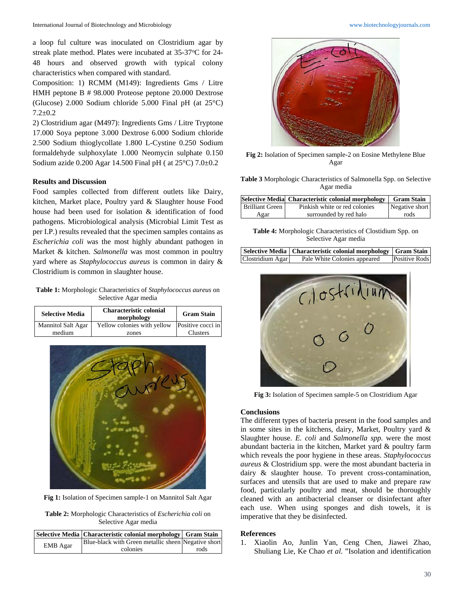a loop ful culture was inoculated on Clostridium agar by streak plate method. Plates were incubated at 35-37°C for 24-48 hours and observed growth with typical colony characteristics when compared with standard.

Composition: 1) RCMM (M149): Ingredients Gms / Litre HMH peptone B # 98.000 Proteose peptone 20.000 Dextrose (Glucose) 2.000 Sodium chloride 5.000 Final pH (at 25°C) 7.2±0.2

2) Clostridium agar (M497): Ingredients Gms / Litre Tryptone 17.000 Soya peptone 3.000 Dextrose 6.000 Sodium chloride 2.500 Sodium thioglycollate 1.800 L-Cystine 0.250 Sodium formaldehyde sulphoxylate 1.000 Neomycin sulphate 0.150 Sodium azide 0.200 Agar 14.500 Final pH ( at 25°C) 7.0±0.2

#### **Results and Discussion**

Food samples collected from different outlets like Dairy, kitchen, Market place, Poultry yard & Slaughter house Food house had been used for isolation & identification of food pathogens. Microbiological analysis (Microbial Limit Test as per I.P.) results revealed that the specimen samples contains as *Escherichia coli w*as the most highly abundant pathogen in Market & kitchen. *Salmonella* was most common in poultry yard where as *Staphylococcus aureus* is common in dairy & Clostridium is common in slaughter house.

**Table 1:** Morphologic Characteristics of *Staphylococcus aureus* on Selective Agar media

| <b>Selective Media</b> | <b>Characteristic colonial</b><br>morphology | <b>Gram Stain</b> |
|------------------------|----------------------------------------------|-------------------|
| Mannitol Salt Agar     | Yellow colonies with yellow                  | Positive cocci in |
| medium                 | zones                                        | Clusters          |



**Fig 1:** Isolation of Specimen sample-1 on Mannitol Salt Agar

**Table 2:** Morphologic Characteristics of *Escherichia coli* on Selective Agar media

|          | Selective Media   Characteristic colonial morphology   Gram Stain |      |
|----------|-------------------------------------------------------------------|------|
| EMB Agar | Blue-black with Green metallic sheen Negative short               |      |
|          | colonies                                                          | rods |



**Fig 2:** Isolation of Specimen sample-2 on Eosine Methylene Blue Agar

**Table 3** Morphologic Characteristics of Salmonella Spp. on Selective Agar media

|                 | Selective Media Characteristic colonial morphology | <b>Gram Stain</b> |
|-----------------|----------------------------------------------------|-------------------|
| Brilliant Green | Pinkish white or red colonies                      | Negative short    |
| Agar            | surrounded by red halo                             | rods              |

**Table 4:** Morphologic Characteristics of Clostidium Spp. on Selective Agar media

|                  | Selective Media   Characteristic colonial morphology   Gram Stain |               |
|------------------|-------------------------------------------------------------------|---------------|
| Clostridium Agar | Pale White Colonies appeared                                      | Positive Rods |



**Fig 3:** Isolation of Specimen sample-5 on Clostridium Agar

#### **Conclusions**

The different types of bacteria present in the food samples and in some sites in the kitchens, dairy, Market, Poultry yard & Slaughter house. *E. coli* and *Salmonella spp.* were the most abundant bacteria in the kitchen, Market yard & poultry farm which reveals the poor hygiene in these areas. *Staphylococcus aureus* & Clostridium spp. were the most abundant bacteria in dairy & slaughter house. To prevent cross-contamination, surfaces and utensils that are used to make and prepare raw food, particularly poultry and meat, should be thoroughly cleaned with an antibacterial cleanser or disinfectant after each use. When using sponges and dish towels, it is imperative that they be disinfected.

#### **References**

1. Xiaolin Ao, Junlin Yan, Ceng Chen, Jiawei Zhao, Shuliang Lie, Ke Chao *et al*. "Isolation and identification